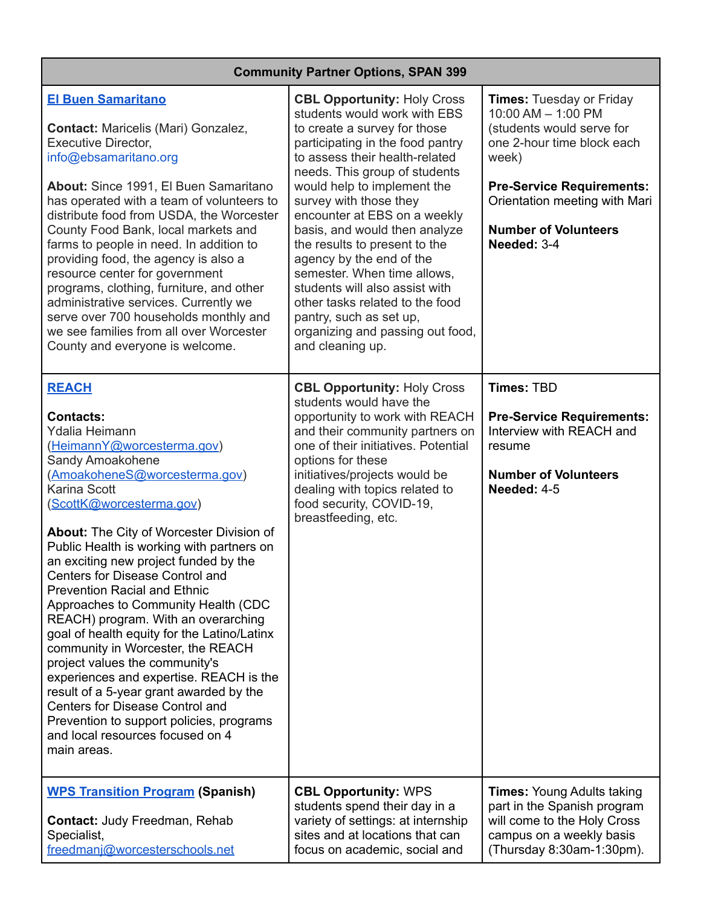## **Community Partner Options, SPAN 399**

| <b>El Buen Samaritano</b><br><b>Contact: Maricelis (Mari) Gonzalez,</b><br><b>Executive Director,</b><br>info@ebsamaritano.org<br>About: Since 1991, El Buen Samaritano<br>has operated with a team of volunteers to<br>distribute food from USDA, the Worcester<br>County Food Bank, local markets and<br>farms to people in need. In addition to<br>providing food, the agency is also a<br>resource center for government<br>programs, clothing, furniture, and other<br>administrative services. Currently we<br>serve over 700 households monthly and<br>we see families from all over Worcester<br>County and everyone is welcome.                                                                                                                                                                                  | <b>CBL Opportunity: Holy Cross</b><br>students would work with EBS<br>to create a survey for those<br>participating in the food pantry<br>to assess their health-related<br>needs. This group of students<br>would help to implement the<br>survey with those they<br>encounter at EBS on a weekly<br>basis, and would then analyze<br>the results to present to the<br>agency by the end of the<br>semester. When time allows,<br>students will also assist with<br>other tasks related to the food<br>pantry, such as set up,<br>organizing and passing out food,<br>and cleaning up. | <b>Times: Tuesday or Friday</b><br>10:00 AM - 1:00 PM<br>(students would serve for<br>one 2-hour time block each<br>week)<br><b>Pre-Service Requirements:</b><br>Orientation meeting with Mari<br><b>Number of Volunteers</b><br>Needed: 3-4 |
|---------------------------------------------------------------------------------------------------------------------------------------------------------------------------------------------------------------------------------------------------------------------------------------------------------------------------------------------------------------------------------------------------------------------------------------------------------------------------------------------------------------------------------------------------------------------------------------------------------------------------------------------------------------------------------------------------------------------------------------------------------------------------------------------------------------------------|-----------------------------------------------------------------------------------------------------------------------------------------------------------------------------------------------------------------------------------------------------------------------------------------------------------------------------------------------------------------------------------------------------------------------------------------------------------------------------------------------------------------------------------------------------------------------------------------|----------------------------------------------------------------------------------------------------------------------------------------------------------------------------------------------------------------------------------------------|
| <b>REACH</b><br><b>Contacts:</b><br>Ydalia Heimann<br>(HeimannY@worcesterma.gov)<br>Sandy Amoakohene<br>(AmoakoheneS@worcesterma.gov)<br>Karina Scott<br>(ScottK@worcesterma.gov)<br>About: The City of Worcester Division of<br>Public Health is working with partners on<br>an exciting new project funded by the<br>Centers for Disease Control and<br><b>Prevention Racial and Ethnic</b><br>Approaches to Community Health (CDC<br>REACH) program. With an overarching<br>goal of health equity for the Latino/Latinx<br>community in Worcester, the REACH<br>project values the community's<br>experiences and expertise. REACH is the<br>result of a 5-year grant awarded by the<br>Centers for Disease Control and<br>Prevention to support policies, programs<br>and local resources focused on 4<br>main areas. | <b>CBL Opportunity: Holy Cross</b><br>students would have the<br>opportunity to work with REACH<br>and their community partners on<br>one of their initiatives. Potential<br>options for these<br>initiatives/projects would be<br>dealing with topics related to<br>food security, COVID-19,<br>breastfeeding, etc.                                                                                                                                                                                                                                                                    | <b>Times: TBD</b><br><b>Pre-Service Requirements:</b><br>Interview with REACH and<br>resume<br><b>Number of Volunteers</b><br>Needed: 4-5                                                                                                    |
| <b>WPS Transition Program (Spanish)</b><br><b>Contact: Judy Freedman, Rehab</b><br>Specialist,<br>freedmani@worcesterschools.net                                                                                                                                                                                                                                                                                                                                                                                                                                                                                                                                                                                                                                                                                          | <b>CBL Opportunity: WPS</b><br>students spend their day in a<br>variety of settings: at internship<br>sites and at locations that can<br>focus on academic, social and                                                                                                                                                                                                                                                                                                                                                                                                                  | <b>Times: Young Adults taking</b><br>part in the Spanish program<br>will come to the Holy Cross<br>campus on a weekly basis<br>(Thursday 8:30am-1:30pm).                                                                                     |